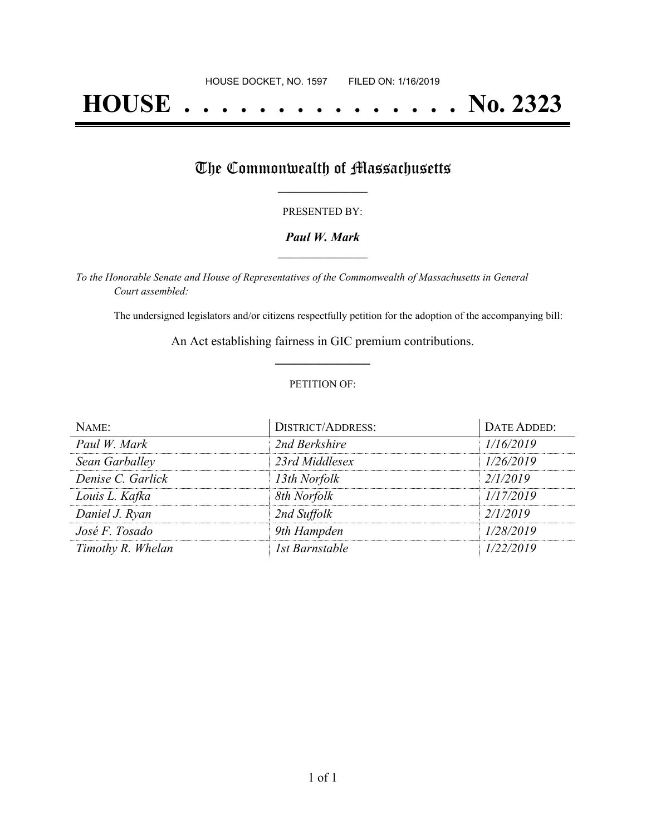# **HOUSE . . . . . . . . . . . . . . . No. 2323**

## The Commonwealth of Massachusetts

#### PRESENTED BY:

## *Paul W. Mark* **\_\_\_\_\_\_\_\_\_\_\_\_\_\_\_\_\_**

*To the Honorable Senate and House of Representatives of the Commonwealth of Massachusetts in General Court assembled:*

The undersigned legislators and/or citizens respectfully petition for the adoption of the accompanying bill:

An Act establishing fairness in GIC premium contributions. **\_\_\_\_\_\_\_\_\_\_\_\_\_\_\_**

### PETITION OF:

| NAME:             | <b>DISTRICT/ADDRESS:</b> | DATE ADDED: |
|-------------------|--------------------------|-------------|
| Paul W. Mark      | 2nd Berkshire            | 1/16/2019   |
| Sean Garballey    | 23rd Middlesex           | 1/26/2019   |
| Denise C. Garlick | 13th Norfolk             | 2/1/2019    |
| Louis L. Kafka    | 8th Norfolk              | 1/17/2019   |
| Daniel J. Ryan    | 2nd Suffolk              | 2/1/2019    |
| José F. Tosado    | 9th Hampden              | 1/28/2019   |
| Timothy R. Whelan | 1st Barnstable           | 1/22/2019   |